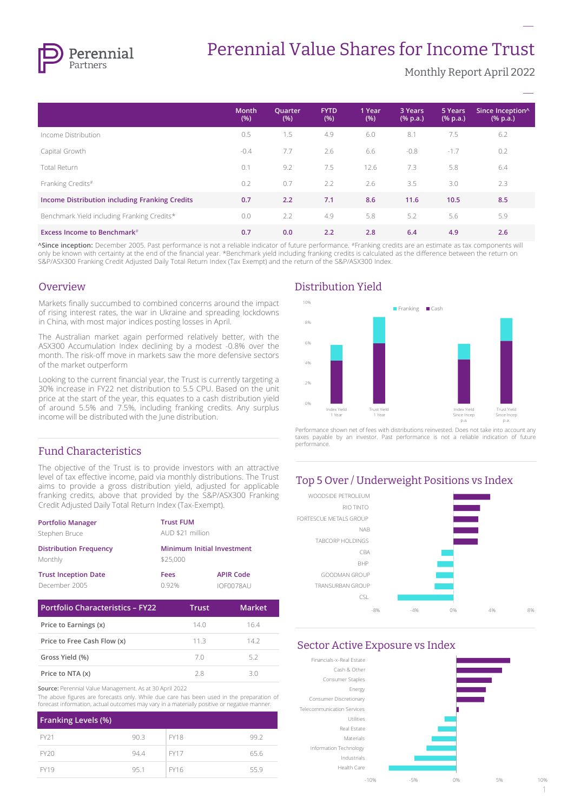

# Perennial Value Shares for Income Trust

Monthly Report April 2022

**–**

|                                                | <b>Month</b><br>(% ) | Quarter<br>(% ) | <b>FYTD</b><br>(% ) | 1 Year<br>(% ) | 3 Years<br>$(% \mathbf{a})$ (% p.a.) | 5 Years<br>$(% \mathbf{A})$ (% p.a.) | Since Inception^<br>$(% \mathbf{a})$ (% p.a.) |
|------------------------------------------------|----------------------|-----------------|---------------------|----------------|--------------------------------------|--------------------------------------|-----------------------------------------------|
| Income Distribution                            | 0.5                  | 1.5             | 4.9                 | 6.0            | 8.1                                  | 7.5                                  | 6.2                                           |
| Capital Growth                                 | $-0.4$               | 7.7             | 2.6                 | 6.6            | $-0.8$                               | $-1.7$                               | 0.2                                           |
| Total Return                                   | 0.1                  | 9.2             | 7.5                 | 12.6           | 7.3                                  | 5.8                                  | 6.4                                           |
| Franking Credits#                              | 0.2                  | 0.7             | 2.2                 | 2.6            | 3.5                                  | 3.0                                  | 2.3                                           |
| Income Distribution including Franking Credits | 0.7                  | 2.2             | 7.1                 | 8.6            | 11.6                                 | 10.5                                 | 8.5                                           |
| Benchmark Yield including Franking Credits*    | 0.0                  | 2.2             | 4.9                 | 5.8            | 5.2                                  | 5.6                                  | 5.9                                           |
| <b>Excess Income to Benchmark</b> #            | 0.7                  | 0.0             | 2.2                 | 2.8            | 6.4                                  | 4.9                                  | 2.6                                           |

**^Since inception:** December 2005. Past performance is not a reliable indicator of future performance. #Franking credits are an estimate as tax components will only be known with certainty at the end of the financial year. \*Benchmark yield including franking credits is calculated as the difference between the return on S&P/ASX300 Franking Credit Adjusted Daily Total Return Index (Tax Exempt) and the return of the S&P/ASX300 Index.

#### Overview

Markets finally succumbed to combined concerns around the impact of rising interest rates, the war in Ukraine and spreading lockdowns in China, with most major indices posting losses in April.

The Australian market again performed relatively better, with the ASX300 Accumulation Index declining by a modest -0.8% over the month. The risk-off move in markets saw the more defensive sectors of the market outperform

Looking to the current financial year, the Trust is currently targeting a 30% increase in FY22 net distribution to 5.5 CPU. Based on the unit price at the start of the year, this equates to a cash distribution yield of around 5.5% and 7.5%, including franking credits. Any surplus income will be distributed with the June distribution.

## Fund Characteristics

The objective of the Trust is to provide investors with an attractive level of tax effective income, paid via monthly distributions. The Trust aims to provide a gross distribution yield, adjusted for applicable franking credits, above that provided by the S&P/ASX300 Franking Credit Adjusted Daily Total Return Index (Tax-Exempt).

| <b>Portfolio Manager</b>      | <b>Trust FUM</b> |                            |  |  |
|-------------------------------|------------------|----------------------------|--|--|
| Stephen Bruce                 |                  | AUD \$21 million           |  |  |
| <b>Distribution Frequency</b> |                  | Minimum Initial Investment |  |  |
| Monthly                       | \$25,000         |                            |  |  |
| <b>Trust Inception Date</b>   | Fees             | <b>APIR Code</b>           |  |  |
| December 2005                 | 0.92%            | IOF0078AU                  |  |  |

| <b>Portfolio Characteristics - FY22</b> | Trust | Market |
|-----------------------------------------|-------|--------|
| Price to Earnings (x)                   | 14.0  | 164    |
| Price to Free Cash Flow (x)             | 11.3  | 142    |
| Gross Yield (%)                         | 70    | 52     |
| Price to NTA (x)                        | 28    | 30     |

**Source:** Perennial Value Management. As at 30 April 2022

The above figures are forecasts only. While due care has been used in the preparation of forecast information, actual outcomes may vary in a materially positive or negative manner.

| <b>Franking Levels (%)</b> |      |             |      |
|----------------------------|------|-------------|------|
| FY21                       | 90.3 | <b>FY18</b> | 99.2 |
| FY20                       | 94.4 | <b>FY17</b> | 65.6 |
| <b>FY19</b>                | 95.1 | <b>FY16</b> | 55.9 |

## Distribution Yield



Performance shown net of fees with distributions reinvested. Does not take into account any taxes payable by an investor. Past performance is not a reliable indication of future performance.

## Top 5 Over / Underweight Positions vs Index



#### Sector Active Exposure vs Index



 $1006$ 1